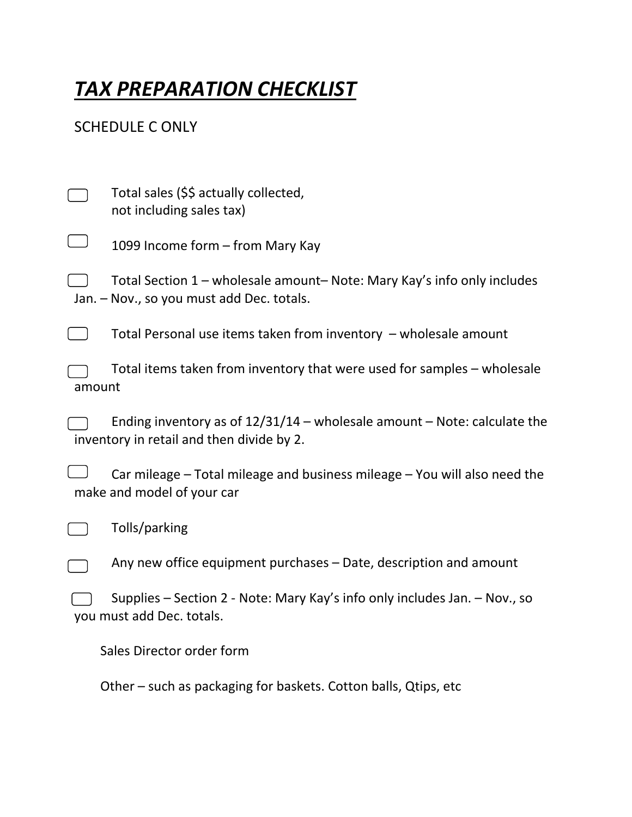## *TAX PREPARATION CHECKLIST*

## SCHEDULE C ONLY

|        | Total sales (\$\$ actually collected,<br>not including sales tax)                                                       |
|--------|-------------------------------------------------------------------------------------------------------------------------|
|        | 1099 Income form - from Mary Kay                                                                                        |
|        | Total Section 1 – wholesale amount– Note: Mary Kay's info only includes<br>Jan. - Nov., so you must add Dec. totals.    |
|        | Total Personal use items taken from inventory $-$ wholesale amount                                                      |
| amount | Total items taken from inventory that were used for samples – wholesale                                                 |
|        | Ending inventory as of $12/31/14$ – wholesale amount – Note: calculate the<br>inventory in retail and then divide by 2. |
|        | Car mileage - Total mileage and business mileage - You will also need the<br>make and model of your car                 |
|        | Tolls/parking                                                                                                           |
|        | Any new office equipment purchases - Date, description and amount                                                       |
|        | Supplies – Section 2 - Note: Mary Kay's info only includes Jan. – Nov., so<br>you must add Dec. totals.                 |
|        | Sales Director order form                                                                                               |

Other – such as packaging for baskets. Cotton balls, Qtips, etc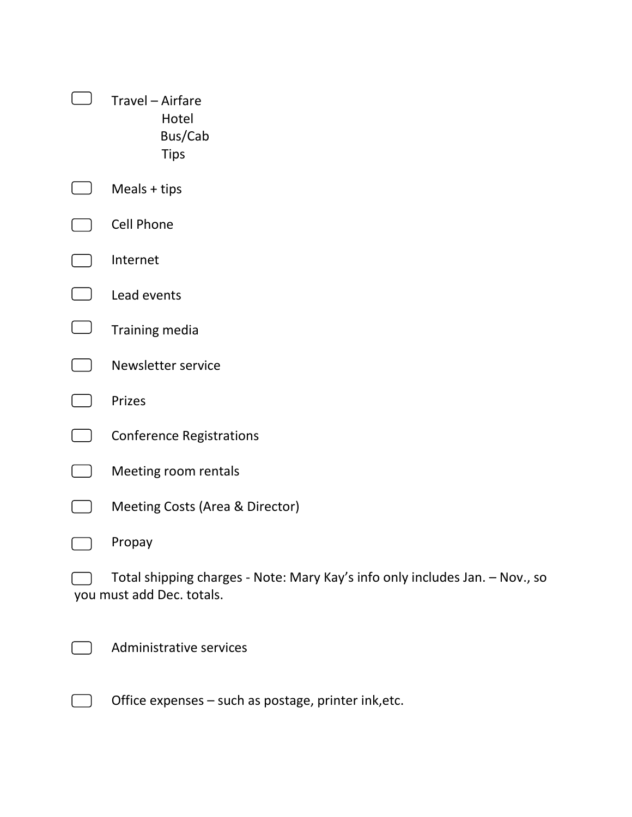| Travel - Airfare<br>Hotel<br>Bus/Cab<br><b>Tips</b>                                                       |
|-----------------------------------------------------------------------------------------------------------|
| Meals $+$ tips                                                                                            |
| Cell Phone                                                                                                |
| Internet                                                                                                  |
| Lead events                                                                                               |
| Training media                                                                                            |
| Newsletter service                                                                                        |
| Prizes                                                                                                    |
| <b>Conference Registrations</b>                                                                           |
| Meeting room rentals                                                                                      |
| Meeting Costs (Area & Director)                                                                           |
| Propay                                                                                                    |
| Total shipping charges - Note: Mary Kay's info only includes Jan. - Nov., so<br>you must add Dec. totals. |
| Administrative services                                                                                   |

Office expenses – such as postage, printer ink,etc.

 $\Box$